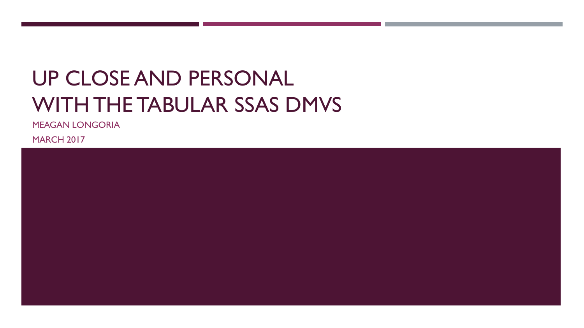# UP CLOSE AND PERSONAL WITH THE TABULAR SSAS DMVS

MEAGAN LONGORIA

**MARCH 2017** 

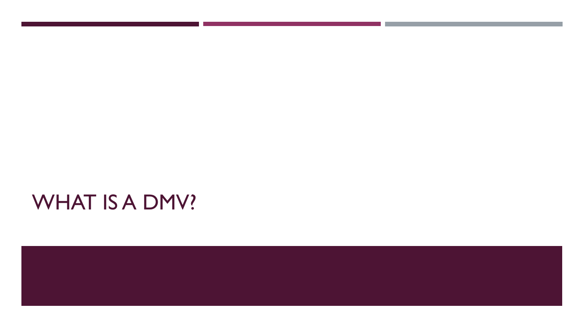# WHAT IS A DMV?

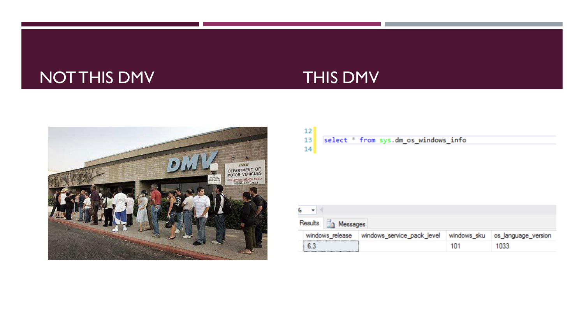## NOT THIS DMV THIS DMV



| 12 |                                      |  |
|----|--------------------------------------|--|
| 13 | select * from sys.dm os_windows_info |  |
| 14 |                                      |  |
|    |                                      |  |

| ٠                            |                                                        |     |                     |
|------------------------------|--------------------------------------------------------|-----|---------------------|
| Results <b>Fig.</b> Messages |                                                        |     |                     |
|                              | windows_release windows_service_pack_level windows_sku |     | os_language_version |
| 6.3                          |                                                        | 101 | 1033                |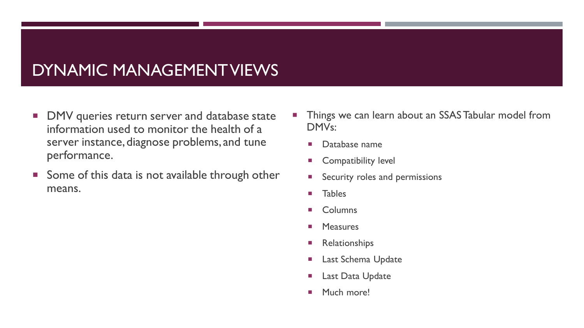### DYNAMIC MANAGEMENT VIEWS

- **DMV** queries return server and database state information used to monitor the health of a server instance, diagnose problems, and tune performance.
- Some of this data is not available through other means.
- **Things we can learn about an SSAS Tabular model from** DMVs:
	- **Database name**
	- **Compatibility level**
	- **Security roles and permissions**
	- **Tables**
	- Columns
	- **Measures**
	- **Relationships**
	- **Last Schema Update**
	- **Last Data Update**
	- **Much more!**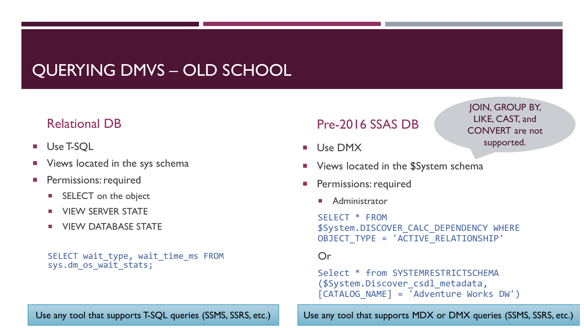## QUERYING DMVS – OLD SCHOOL

#### Relational DB

- Use T-SQL
- Views located in the sys schema
- Permissions: required
	- **SELECT** on the object
	- **NUMBER STATE**
	- **UIEW DATABASE STATE**

```
SELECT wait type, wait time ms FROM
sys.dm os wait stats;
```
#### Pre-2016 SSAS DB

Use DMX

JOIN, GROUP BY, LIKE, CAST, and CONVERT are not supported.

- Views located in the \$System schema
- Permissions: required
	- Administrator

SELECT \* FROM \$System.DISCOVER\_CALC\_DEPENDENCY WHERE OBJECT\_TYPE = 'ACTIVE\_RELATIONSHIP'

#### Or

Select \* from SYSTEMRESTRICTSCHEMA (\$System.Discover\_csdl\_metadata, [CATALOG\_NAME] = 'Adventure Works DW')

Use any tool that supports T-SQL queries (SSMS, SSRS, etc.) Use any tool that supports MDX or DMX queries (SSMS, SSRS, etc.)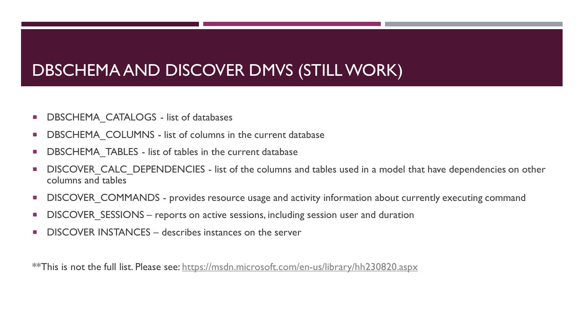#### DBSCHEMA AND DISCOVER DMVS (STILL WORK)

- **DBSCHEMA\_CATALOGS** list of databases
- **DBSCHEMA\_COLUMNS list of columns in the current database**
- **DBSCHEMA TABLES list of tables in the current database**
- DISCOVER CALC DEPENDENCIES list of the columns and tables used in a model that have dependencies on other columns and tables
- DISCOVER\_COMMANDS provides resource usage and activity information about currently executing command
- **DISCOVER SESSIONS reports on active sessions, including session user and duration**
- **DISCOVER INSTANCES describes instances on the server**

\*\*This is not the full list. Please see: <https://msdn.microsoft.com/en-us/library/hh230820.aspx>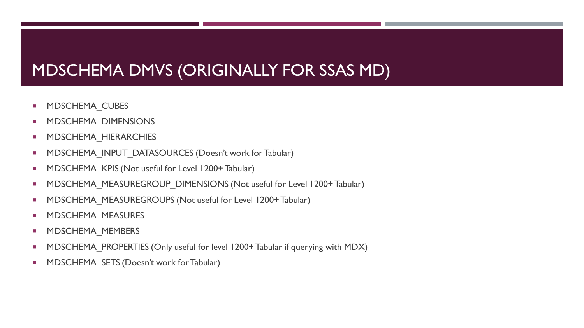## MDSCHEMA DMVS (ORIGINALLY FOR SSAS MD)

- MDSCHEMA\_CUBES
- **NDSCHEMA\_DIMENSIONS**
- **NDSCHEMA\_HIERARCHIES**
- **MDSCHEMA\_INPUT\_DATASOURCES (Doesn't work for Tabular)**
- **MDSCHEMA KPIS (Not useful for Level 1200+ Tabular)**
- **MDSCHEMA\_MEASUREGROUP\_DIMENSIONS (Not useful for Level 1200+ Tabular)**
- **MDSCHEMA\_MEASUREGROUPS (Not useful for Level 1200+ Tabular)**
- **NDSCHEMA\_MEASURES**
- **NDSCHEMA\_MEMBERS**
- **MDSCHEMA\_PROPERTIES (Only useful for level 1200+ Tabular if querying with MDX)**
- **MDSCHEMA SETS (Doesn't work for Tabular)**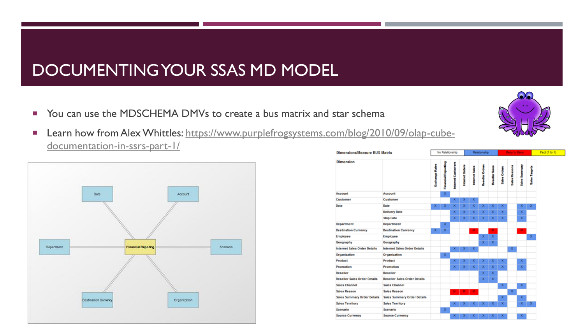### DOCUMENTING YOUR SSAS MD MODEL

- You can use the MDSCHEMA DMVs to create a bus matrix and star schema
- [Learn how from Alex Whittles: https://www.purplefrogsystems.com/blog/2010/09/olap-cube](https://www.purplefrogsystems.com/blog/2010/09/olap-cube-documentation-in-ssrs-part-1/)documentation-in-ssrs-part-1/



| <b>Dimensions/Measure BUS Matrix</b> |                                     |                       | No Relationship            |                           |                        | Relationship   |                        |                       |              | <b>Many to Many</b>  |                      |                      |  |
|--------------------------------------|-------------------------------------|-----------------------|----------------------------|---------------------------|------------------------|----------------|------------------------|-----------------------|--------------|----------------------|----------------------|----------------------|--|
| <b>Dimension</b>                     |                                     | <b>Exchange Rates</b> | <b>Financial Reporting</b> | <b>Internet Customers</b> | <b>Internet Orders</b> | Internet Sales | <b>Reseller Orders</b> | <b>Reseller Sales</b> | Sales Orders | <b>Sales Reasons</b> | <b>Sales Summary</b> | <b>Sales Targets</b> |  |
| Account                              | Account                             |                       | ×                          |                           |                        |                |                        |                       |              |                      |                      |                      |  |
| Customer                             | Customer                            |                       |                            | $\mathbf x$               | x                      | x              |                        |                       |              |                      |                      |                      |  |
| Date                                 | Date                                | x                     | $\bf x$                    | $\mathbf x$               | x                      | $\bf x$        | x                      | $\mathbf x$           | x            |                      | $\mathbf x$          | x                    |  |
|                                      | <b>Delivery Date</b>                |                       |                            | $\mathbf x$               | x                      | ×              | $\mathbf x$            | x                     | $\mathbf x$  |                      | $\mathbf x$          |                      |  |
|                                      | <b>Ship Date</b>                    |                       |                            | $\mathbf x$               | $\mathbf x$            | $\mathbf x$    | $\bf x$                | $\mathbf x$           | x            |                      | $\mathbf x$          |                      |  |
| Department                           | <b>Department</b>                   |                       | $\bf x$                    |                           |                        |                |                        |                       |              |                      |                      |                      |  |
| <b>Destination Currency</b>          | <b>Destination Currency</b>         | x                     | x                          |                           |                        | м.             |                        | M.                    |              |                      | M.                   |                      |  |
| Employee                             | <b>Employee</b>                     |                       |                            |                           |                        |                | $\mathbf x$            | $\mathbf{x}$          |              |                      |                      | x                    |  |
| Geography                            | Geography                           |                       |                            |                           |                        |                | $\mathbf x$            | x                     |              |                      |                      |                      |  |
| <b>Internet Sales Order Details</b>  | <b>Internet Sales Order Details</b> |                       |                            | x                         | x                      | $\mathbf x$    |                        |                       |              | $\mathbf x$          |                      |                      |  |
| Organization                         | Organization                        |                       | $\bf x$                    |                           |                        |                |                        |                       |              |                      |                      |                      |  |
| Product                              | Product                             |                       |                            | x                         | x                      | x              | x                      | x                     | x            |                      | $\mathbf x$          |                      |  |
| Promotion                            | Promotion                           |                       |                            | $\mathbf x$               | $\mathbf{x}$           | x              | $\mathbf x$            | $\mathbf x$           | x            |                      | $\mathbf{x}$         |                      |  |
| Reseller                             | Reseller                            |                       |                            |                           |                        |                | $\mathbf x$            | x                     |              |                      |                      |                      |  |
| <b>Reseller Sales Order Details</b>  | <b>Reseller Sales Order Details</b> |                       |                            |                           |                        |                | $\mathbf x$            | $\mathbf x$           |              |                      |                      |                      |  |
| <b>Sales Channel</b>                 | <b>Sales Channel</b>                |                       |                            |                           |                        |                |                        |                       | $\mathbf{x}$ |                      | X                    |                      |  |
| <b>Sales Reason</b>                  | <b>Sales Reason</b>                 |                       |                            |                           | ×                      | м.             |                        |                       |              | $\mathbf x$          |                      |                      |  |
| Sales Summary Order Details          | Sales Summary Order Details         |                       |                            |                           |                        |                |                        |                       | x            |                      | $\mathbf x$          |                      |  |
| <b>Sales Territory</b>               | <b>Sales Territory</b>              |                       |                            | $\mathbf{x}$              | x                      | x              | x                      | x                     | x            |                      | x                    | $\mathbf{x}$         |  |
| Scenario                             | Scenario                            |                       | $\mathbf x$                |                           |                        |                |                        |                       |              |                      |                      |                      |  |
| <b>Source Currency</b>               | <b>Source Currency</b>              |                       |                            | x                         | x                      | x              | x                      | x                     | x            |                      | $\mathbf x$          |                      |  |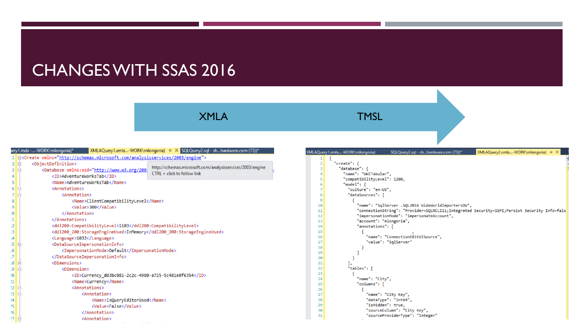#### CHANGES WITH SSAS 2016

XMLA TMSL

|    |        | $\mathbb{X}$ MLAQuery1.xmla-WORK\mlongoria) $\div \mathbb{X}$ SQLQuery2.sql - shhardware.com (73))*<br>iery1.mdx --WORK\mlongoria)*     |  |
|----|--------|-----------------------------------------------------------------------------------------------------------------------------------------|--|
|    |        | B <create xmlns="http://schemas.microsoft.com/analysisservices/2003/engine"></create>                                                   |  |
| 2  | E      | <objectdefinition></objectdefinition>                                                                                                   |  |
| з  | Ė      | http://schemas.microsoft.com/analysisservices/2003/engine<br><Database xmlns:xsd="http://www.w3.org/2001<br>CTRL + click to follow link |  |
| 4  |        | <id>AdventureWorksTab</id>                                                                                                              |  |
| 5  |        | <name>AdventureWorksTab</name>                                                                                                          |  |
| 6  | E      | <annotations></annotations>                                                                                                             |  |
| 7  | E      | <annotation></annotation>                                                                                                               |  |
| 8  |        | <name>ClientCompatibilityLevel</name>                                                                                                   |  |
| 9  |        | <value>300</value>                                                                                                                      |  |
| .0 |        |                                                                                                                                         |  |
| 1  |        |                                                                                                                                         |  |
| .2 |        | <dd1200:compatibilitylevel>1103</dd1200:compatibilitylevel>                                                                             |  |
| з  |        | <dd1200_200:storageengineused>InMemory</dd1200_200:storageengineused>                                                                   |  |
| 4  |        | <language>1033</language>                                                                                                               |  |
| .5 | $\Box$ | <datasourceimpersonationinfo></datasourceimpersonationinfo>                                                                             |  |
| .6 |        | <impersonationmode>Default</impersonationmode>                                                                                          |  |
| .7 |        |                                                                                                                                         |  |
| .8 | E      | <dimensions></dimensions>                                                                                                               |  |
| 9. | E      | <dimension></dimension>                                                                                                                 |  |
| 10 |        | <id>Currency_dd3bc081-2c2c-4980-a725-5c481e0f6354</id>                                                                                  |  |
| !1 |        | <name>Currency</name>                                                                                                                   |  |
| 12 | E      | <annotations></annotations>                                                                                                             |  |
| 13 | E      | <annotation></annotation>                                                                                                               |  |
| 14 |        | <name>IsQueryEditorUsed</name>                                                                                                          |  |
| 15 |        | <value>False</value>                                                                                                                    |  |
| 16 |        |                                                                                                                                         |  |
| 17 | $\Box$ | <annotation></annotation>                                                                                                               |  |

|                | XMLAQuery2.xmla-WORK\mlongoria) + X<br>Query1.xmla-WORK\mlongoria)<br>SQLQuery2.sql - shhardware.com (73))* |
|----------------|-------------------------------------------------------------------------------------------------------------|
| 1              |                                                                                                             |
| $\overline{2}$ | "create": $\{$                                                                                              |
| 3              | "database": {                                                                                               |
| 4              | "name": "WWITabular",                                                                                       |
| 5              | "compatibilityLevel": 1200,                                                                                 |
| 6              | "model": $\{$                                                                                               |
| 7              | "culture": "en-US",                                                                                         |
| 8              | "dataSources": [                                                                                            |
| 9              |                                                                                                             |
| 10             | "name": "SqlServer .SQL2016 WideWorldImportersDW",                                                          |
| 11             | "connectionString": "Provider=SQLNCLI11;Integrated Security=SSPI;Persist Security Info=fals                 |
| 12             | "impersonationMode": "impersonateAccount",                                                                  |
| 13             | "account": "mlongoria",                                                                                     |
| 14             | "annotations": [                                                                                            |
| 15             |                                                                                                             |
| 16             | "name": "ConnectionEditUISource",                                                                           |
| 17             | "value": "SqlServer"                                                                                        |
| 18             |                                                                                                             |
| 19             |                                                                                                             |
| 20             |                                                                                                             |
| 21             | Jэ                                                                                                          |
| 22             | "tables": [                                                                                                 |
| 23             |                                                                                                             |
| 24             | "name": "City",                                                                                             |
| 25             | "columns": [                                                                                                |
| 26             |                                                                                                             |
| 27             | "name": "City Key",                                                                                         |
| 28             | "dataType": "int64",                                                                                        |
| 29             | "isHidden": true,                                                                                           |
| 30             | "sourceColumn": "City Key",                                                                                 |
| 31             | "sourceProviderType": "Integer"                                                                             |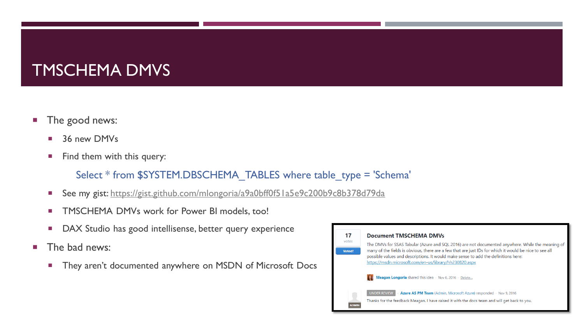## TMSCHEMA DMVS

- **The good news:** 
	- 36 new DMVs
	- Find them with this query:

#### Select \* from \$SYSTEM.DBSCHEMA\_TABLES where table\_type = 'Schema'

- See my gist: <https://gist.github.com/mlongoria/a9a0bff0f51a5e9c200b9c8b378d79da>
- **TMSCHEMA DMVs work for Power BI models, too!**
- DAX Studio has good intellisense, better query experience
- $\blacksquare$  The bad news:
	- They aren't documented anywhere on MSDN of Microsoft Docs

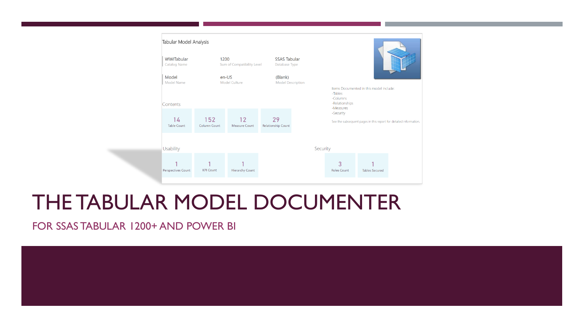

# THE TABULAR MODEL DOCUMENTER

FOR SSAS TABULAR 1200+ AND POWER BI

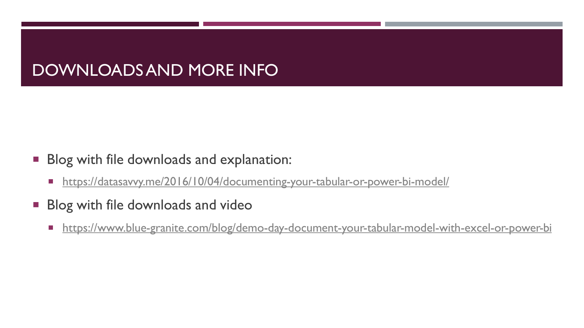#### DOWNLOADS AND MORE INFO

- **Blog with file downloads and explanation:** 
	- <https://datasavvy.me/2016/10/04/documenting-your-tabular-or-power-bi-model/>
- **Blog with file downloads and video** 
	- **<https://www.blue-granite.com/blog/demo-day-document-your-tabular-model-with-excel-or-power-bi>**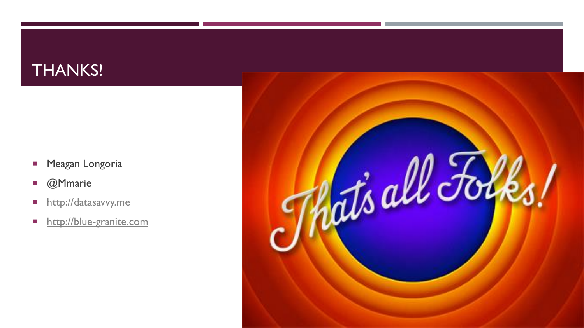#### THANKS!

- **Meagan Longoria**
- **C**Mmarie
- **[http://datasavvy.me](http://datasavvy.me/)**
- **[http://blue-granite.com](http://blue-granite.com/)**